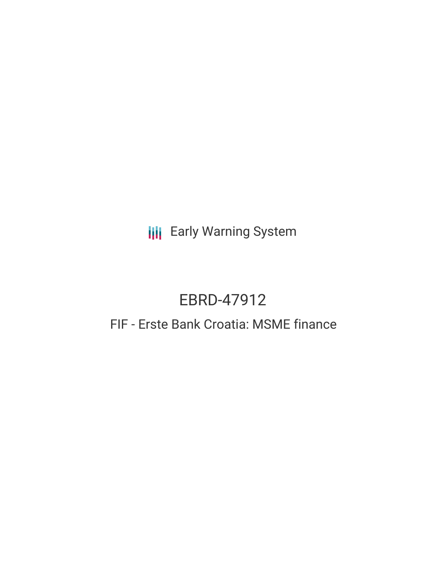**III** Early Warning System

# EBRD-47912

## FIF - Erste Bank Croatia: MSME finance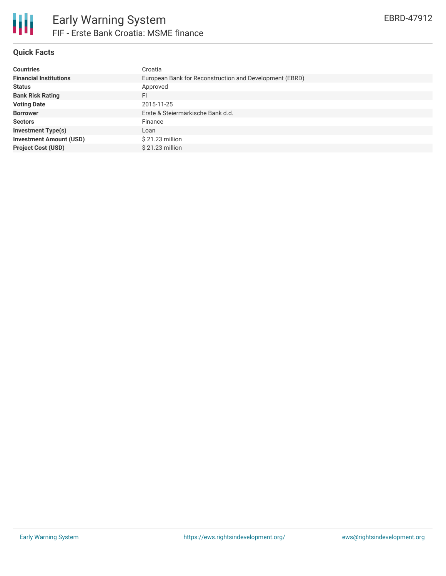

### **Quick Facts**

| <b>Countries</b>               | Croatia                                                 |
|--------------------------------|---------------------------------------------------------|
| <b>Financial Institutions</b>  | European Bank for Reconstruction and Development (EBRD) |
| <b>Status</b>                  | Approved                                                |
| <b>Bank Risk Rating</b>        | FI                                                      |
| <b>Voting Date</b>             | 2015-11-25                                              |
| <b>Borrower</b>                | Erste & Steiermärkische Bank d.d.                       |
| <b>Sectors</b>                 | Finance                                                 |
| <b>Investment Type(s)</b>      | Loan                                                    |
| <b>Investment Amount (USD)</b> | $$21.23$ million                                        |
| <b>Project Cost (USD)</b>      | $$21.23$ million                                        |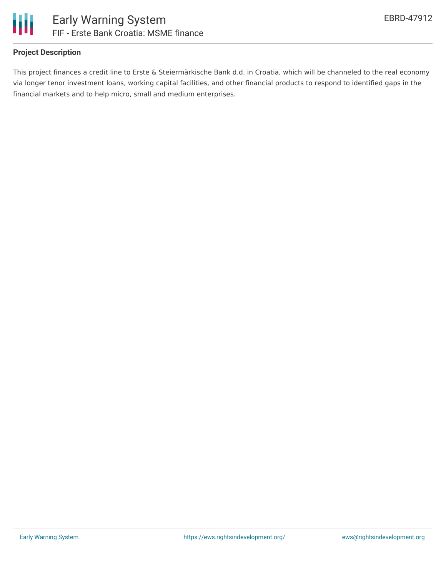

### **Project Description**

This project finances a credit line to Erste & Steiermärkische Bank d.d. in Croatia, which will be channeled to the real economy via longer tenor investment loans, working capital facilities, and other financial products to respond to identified gaps in the financial markets and to help micro, small and medium enterprises.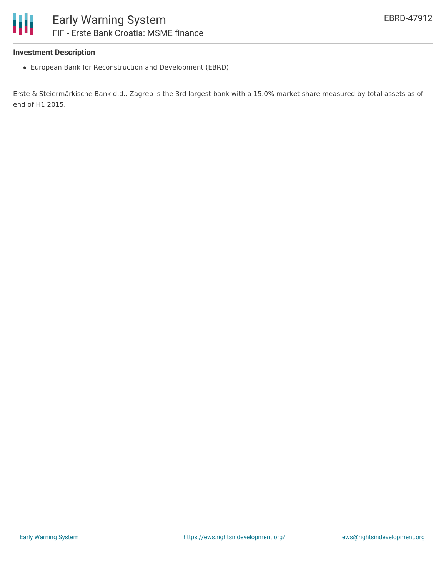

### Early Warning System FIF - Erste Bank Croatia: MSME finance

### **Investment Description**

European Bank for Reconstruction and Development (EBRD)

Erste & Steiermärkische Bank d.d., Zagreb is the 3rd largest bank with a 15.0% market share measured by total assets as of end of H1 2015.